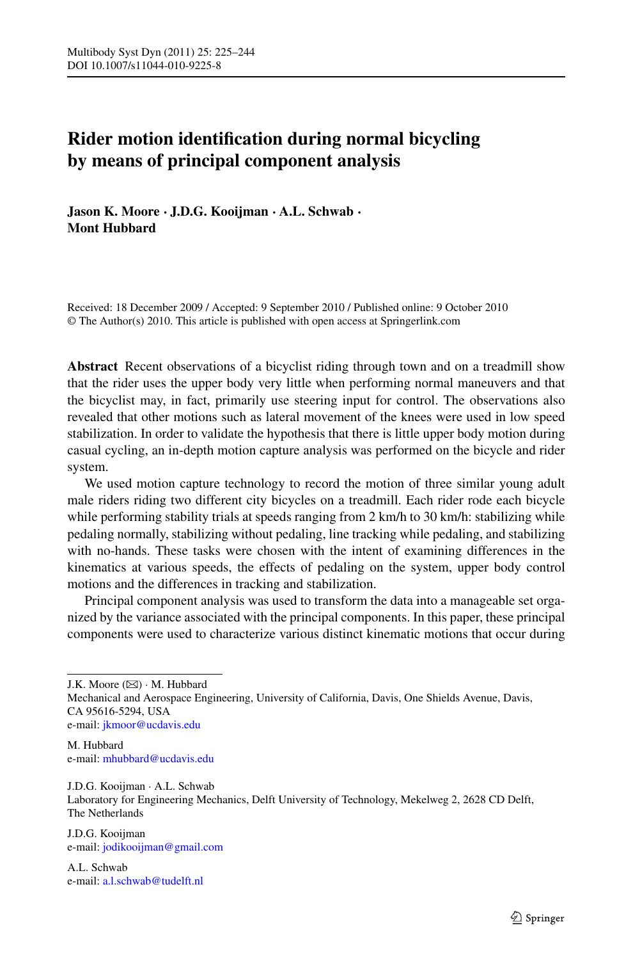# **Rider motion identification during normal bicycling by means of principal component analysis**

**Jason K. Moore · J.D.G. Kooijman · A.L. Schwab · Mont Hubbard**

Received: 18 December 2009 / Accepted: 9 September 2010 / Published online: 9 October 2010 © The Author(s) 2010. This article is published with open access at Springerlink.com

**Abstract** Recent observations of a bicyclist riding through town and on a treadmill show that the rider uses the upper body very little when performing normal maneuvers and that the bicyclist may, in fact, primarily use steering input for control. The observations also revealed that other motions such as lateral movement of the knees were used in low speed stabilization. In order to validate the hypothesis that there is little upper body motion during casual cycling, an in-depth motion capture analysis was performed on the bicycle and rider system.

We used motion capture technology to record the motion of three similar young adult male riders riding two different city bicycles on a treadmill. Each rider rode each bicycle while performing stability trials at speeds ranging from 2 km/h to 30 km/h: stabilizing while pedaling normally, stabilizing without pedaling, line tracking while pedaling, and stabilizing with no-hands. These tasks were chosen with the intent of examining differences in the kinematics at various speeds, the effects of pedaling on the system, upper body control motions and the differences in tracking and stabilization.

Principal component analysis was used to transform the data into a manageable set organized by the variance associated with the principal components. In this paper, these principal components were used to characterize various distinct kinematic motions that occur during

M. Hubbard e-mail: [mhubbard@ucdavis.edu](mailto:mhubbard@ucdavis.edu)

J.D.G. Kooijman · A.L. Schwab Laboratory for Engineering Mechanics, Delft University of Technology, Mekelweg 2, 2628 CD Delft, The Netherlands

J.D.G. Kooijman e-mail: [jodikooijman@gmail.com](mailto:jodikooijman@gmail.com)

A.L. Schwab e-mail: [a.l.schwab@tudelft.nl](mailto:a.l.schwab@tudelft.nl)

J.K. Moore  $(\boxtimes) \cdot$  M. Hubbard

Mechanical and Aerospace Engineering, University of California, Davis, One Shields Avenue, Davis, CA 95616-5294, USA e-mail: [jkmoor@ucdavis.edu](mailto:jkmoor@ucdavis.edu)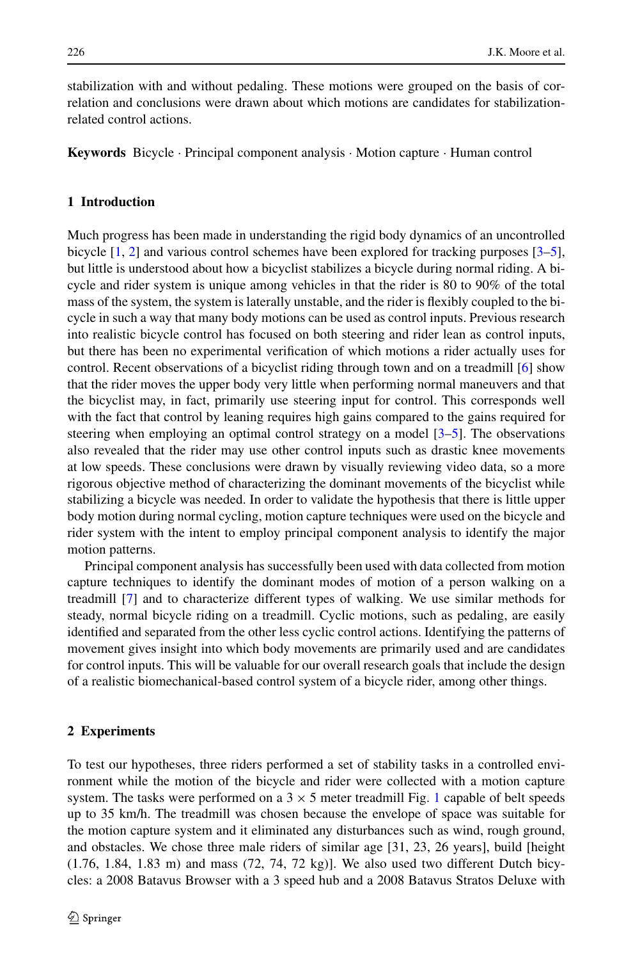stabilization with and without pedaling. These motions were grouped on the basis of correlation and conclusions were drawn about which motions are candidates for stabilizationrelated control actions.

**Keywords** Bicycle · Principal component analysis · Motion capture · Human control

## **1 Introduction**

Much progress has been made in understanding the rigid body dynamics of an uncontrolled bicycle [[1](#page-18-0), [2](#page-18-1)] and various control schemes have been explored for tracking purposes [[3–](#page-18-2)[5](#page-19-0)], but little is understood about how a bicyclist stabilizes a bicycle during normal riding. A bicycle and rider system is unique among vehicles in that the rider is 80 to 90% of the total mass of the system, the system is laterally unstable, and the rider is flexibly coupled to the bicycle in such a way that many body motions can be used as control inputs. Previous research into realistic bicycle control has focused on both steering and rider lean as control inputs, but there has been no experimental verification of which motions a rider actually uses for control. Recent observations of a bicyclist riding through town and on a treadmill [\[6](#page-19-1)] show that the rider moves the upper body very little when performing normal maneuvers and that the bicyclist may, in fact, primarily use steering input for control. This corresponds well with the fact that control by leaning requires high gains compared to the gains required for steering when employing an optimal control strategy on a model [\[3–](#page-18-2)[5](#page-19-0)]. The observations also revealed that the rider may use other control inputs such as drastic knee movements at low speeds. These conclusions were drawn by visually reviewing video data, so a more rigorous objective method of characterizing the dominant movements of the bicyclist while stabilizing a bicycle was needed. In order to validate the hypothesis that there is little upper body motion during normal cycling, motion capture techniques were used on the bicycle and rider system with the intent to employ principal component analysis to identify the major motion patterns.

Principal component analysis has successfully been used with data collected from motion capture techniques to identify the dominant modes of motion of a person walking on a treadmill [[7](#page-19-2)] and to characterize different types of walking. We use similar methods for steady, normal bicycle riding on a treadmill. Cyclic motions, such as pedaling, are easily identified and separated from the other less cyclic control actions. Identifying the patterns of movement gives insight into which body movements are primarily used and are candidates for control inputs. This will be valuable for our overall research goals that include the design of a realistic biomechanical-based control system of a bicycle rider, among other things.

#### **2 Experiments**

To test our hypotheses, three riders performed a set of stability tasks in a controlled environment while the motion of the bicycle and rider were collected with a motion capture system. The tasks were performed on a  $3 \times 5$  meter treadmill Fig. [1](#page-2-0) capable of belt speeds up to 35 km/h. The treadmill was chosen because the envelope of space was suitable for the motion capture system and it eliminated any disturbances such as wind, rough ground, and obstacles. We chose three male riders of similar age [31, 23, 26 years], build [height  $(1.76, 1.84, 1.83 \text{ m})$  and mass  $(72, 74, 72 \text{ kg})$ . We also used two different Dutch bicycles: a 2008 Batavus Browser with a 3 speed hub and a 2008 Batavus Stratos Deluxe with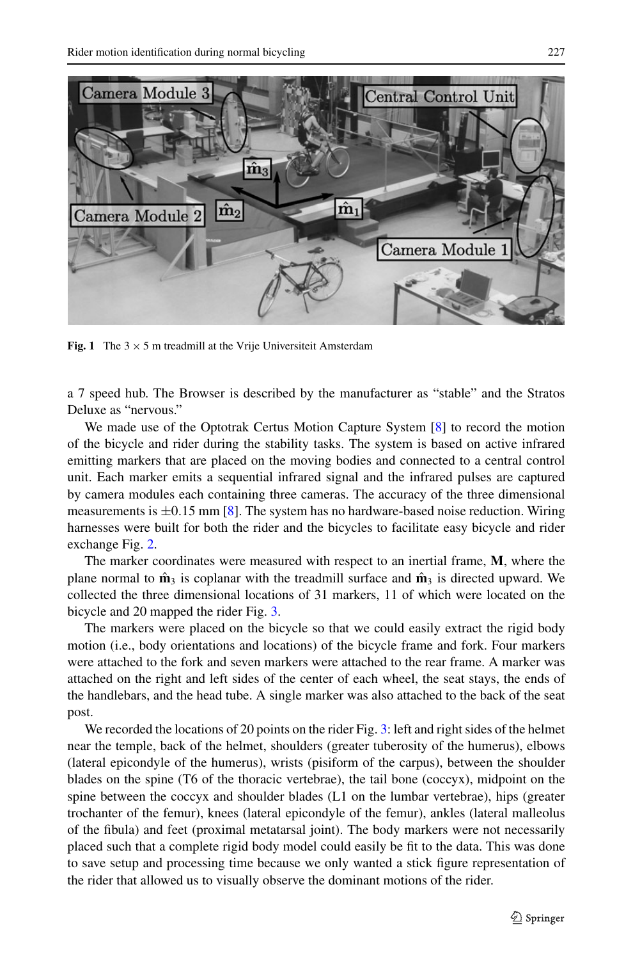<span id="page-2-0"></span>

**Fig. 1** The  $3 \times 5$  m treadmill at the Vrije Universiteit Amsterdam

a 7 speed hub. The Browser is described by the manufacturer as "stable" and the Stratos Deluxe as "nervous."

We made use of the Optotrak Certus Motion Capture System [\[8\]](#page-19-3) to record the motion of the bicycle and rider during the stability tasks. The system is based on active infrared emitting markers that are placed on the moving bodies and connected to a central control unit. Each marker emits a sequential infrared signal and the infrared pulses are captured by camera modules each containing three cameras. The accuracy of the three dimensional measurements is  $\pm 0.15$  mm [[8\]](#page-19-3). The system has no hardware-based noise reduction. Wiring harnesses were built for both the rider and the bicycles to facilitate easy bicycle and rider exchange Fig. [2.](#page-3-0)

The marker coordinates were measured with respect to an inertial frame, **M**, where the plane normal to  $\hat{\mathbf{m}}_3$  is coplanar with the treadmill surface and  $\hat{\mathbf{m}}_3$  is directed upward. We collected the three dimensional locations of 31 markers, 11 of which were located on the bicycle and 20 mapped the rider Fig. [3.](#page-4-0)

The markers were placed on the bicycle so that we could easily extract the rigid body motion (i.e., body orientations and locations) of the bicycle frame and fork. Four markers were attached to the fork and seven markers were attached to the rear frame. A marker was attached on the right and left sides of the center of each wheel, the seat stays, the ends of the handlebars, and the head tube. A single marker was also attached to the back of the seat post.

We recorded the locations of 20 points on the rider Fig. [3:](#page-4-0) left and right sides of the helmet near the temple, back of the helmet, shoulders (greater tuberosity of the humerus), elbows (lateral epicondyle of the humerus), wrists (pisiform of the carpus), between the shoulder blades on the spine (T6 of the thoracic vertebrae), the tail bone (coccyx), midpoint on the spine between the coccyx and shoulder blades (L1 on the lumbar vertebrae), hips (greater trochanter of the femur), knees (lateral epicondyle of the femur), ankles (lateral malleolus of the fibula) and feet (proximal metatarsal joint). The body markers were not necessarily placed such that a complete rigid body model could easily be fit to the data. This was done to save setup and processing time because we only wanted a stick figure representation of the rider that allowed us to visually observe the dominant motions of the rider.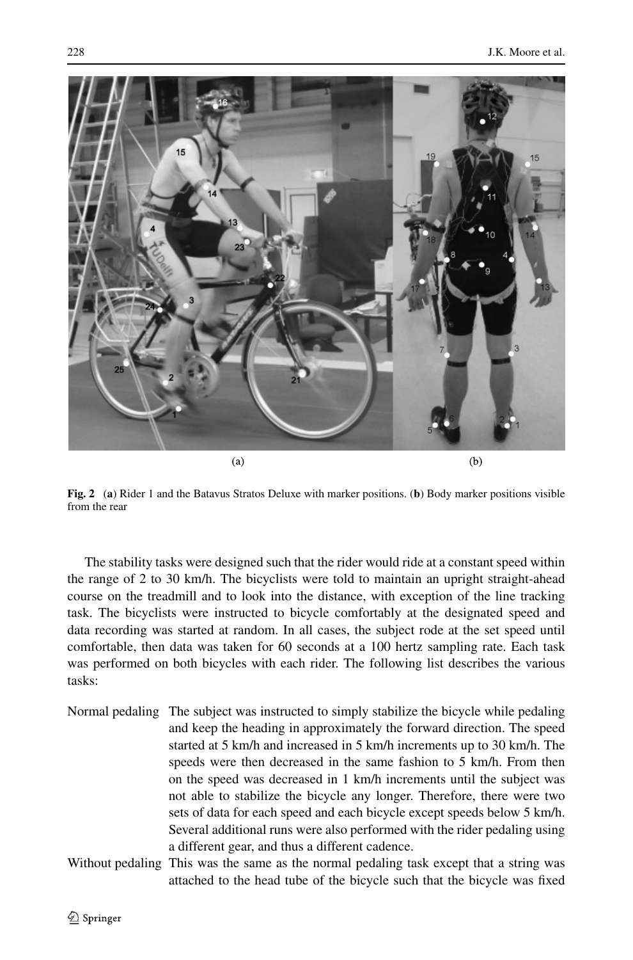

**Fig. 2** (**a**) Rider 1 and the Batavus Stratos Deluxe with marker positions. (**b**) Body marker positions visible from the rear

<span id="page-3-0"></span>The stability tasks were designed such that the rider would ride at a constant speed within the range of 2 to 30 km/h. The bicyclists were told to maintain an upright straight-ahead course on the treadmill and to look into the distance, with exception of the line tracking task. The bicyclists were instructed to bicycle comfortably at the designated speed and data recording was started at random. In all cases, the subject rode at the set speed until comfortable, then data was taken for 60 seconds at a 100 hertz sampling rate. Each task was performed on both bicycles with each rider. The following list describes the various tasks:

- Normal pedaling The subject was instructed to simply stabilize the bicycle while pedaling and keep the heading in approximately the forward direction. The speed started at 5 km/h and increased in 5 km/h increments up to 30 km/h. The speeds were then decreased in the same fashion to 5 km/h. From then on the speed was decreased in 1 km/h increments until the subject was not able to stabilize the bicycle any longer. Therefore, there were two sets of data for each speed and each bicycle except speeds below 5 km/h. Several additional runs were also performed with the rider pedaling using a different gear, and thus a different cadence.
- Without pedaling This was the same as the normal pedaling task except that a string was attached to the head tube of the bicycle such that the bicycle was fixed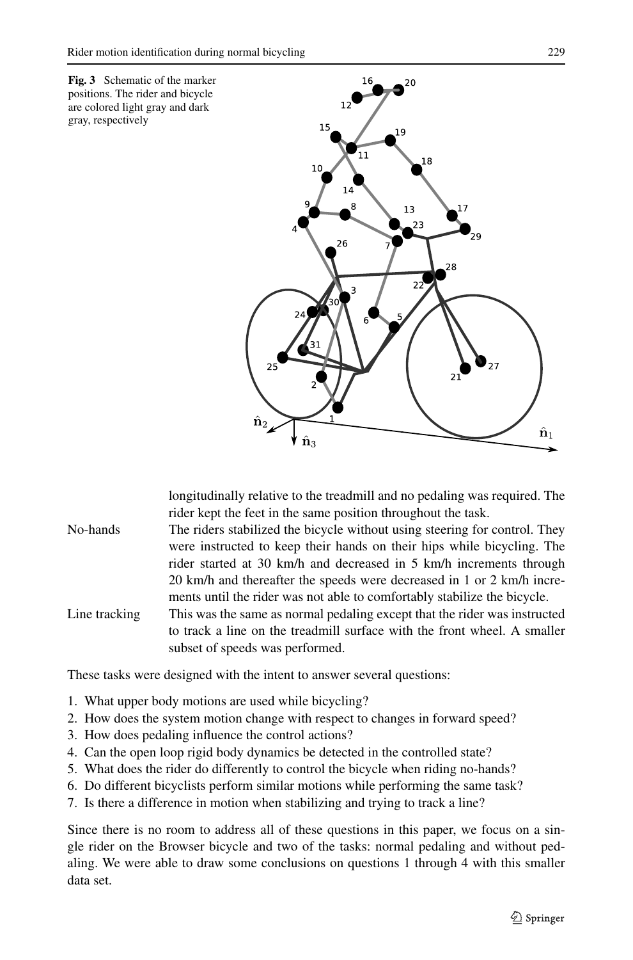<span id="page-4-0"></span>

longitudinally relative to the treadmill and no pedaling was required. The rider kept the feet in the same position throughout the task.

- No-hands The riders stabilized the bicycle without using steering for control. They were instructed to keep their hands on their hips while bicycling. The rider started at 30 km/h and decreased in 5 km/h increments through 20 km/h and thereafter the speeds were decreased in 1 or 2 km/h increments until the rider was not able to comfortably stabilize the bicycle.
- Line tracking This was the same as normal pedaling except that the rider was instructed to track a line on the treadmill surface with the front wheel. A smaller subset of speeds was performed.

These tasks were designed with the intent to answer several questions:

- 1. What upper body motions are used while bicycling?
- 2. How does the system motion change with respect to changes in forward speed?
- 3. How does pedaling influence the control actions?
- 4. Can the open loop rigid body dynamics be detected in the controlled state?
- 5. What does the rider do differently to control the bicycle when riding no-hands?
- 6. Do different bicyclists perform similar motions while performing the same task?
- 7. Is there a difference in motion when stabilizing and trying to track a line?

Since there is no room to address all of these questions in this paper, we focus on a single rider on the Browser bicycle and two of the tasks: normal pedaling and without pedaling. We were able to draw some conclusions on questions 1 through 4 with this smaller data set.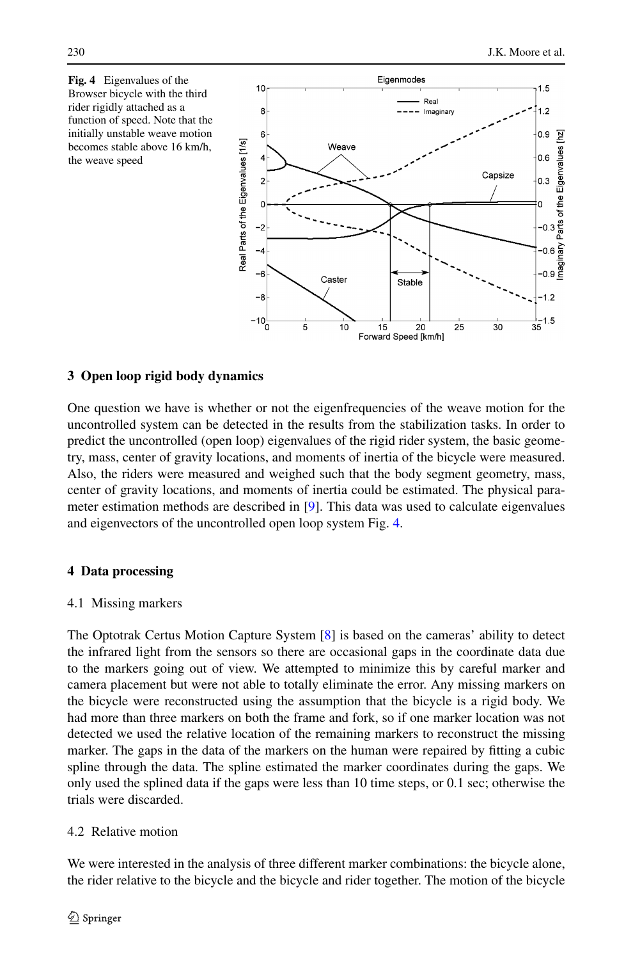<span id="page-5-0"></span>



# **3 Open loop rigid body dynamics**

One question we have is whether or not the eigenfrequencies of the weave motion for the uncontrolled system can be detected in the results from the stabilization tasks. In order to predict the uncontrolled (open loop) eigenvalues of the rigid rider system, the basic geometry, mass, center of gravity locations, and moments of inertia of the bicycle were measured. Also, the riders were measured and weighed such that the body segment geometry, mass, center of gravity locations, and moments of inertia could be estimated. The physical parameter estimation methods are described in [\[9\]](#page-19-4). This data was used to calculate eigenvalues and eigenvectors of the uncontrolled open loop system Fig. [4.](#page-5-0)

# **4 Data processing**

## 4.1 Missing markers

The Optotrak Certus Motion Capture System [\[8](#page-19-3)] is based on the cameras' ability to detect the infrared light from the sensors so there are occasional gaps in the coordinate data due to the markers going out of view. We attempted to minimize this by careful marker and camera placement but were not able to totally eliminate the error. Any missing markers on the bicycle were reconstructed using the assumption that the bicycle is a rigid body. We had more than three markers on both the frame and fork, so if one marker location was not detected we used the relative location of the remaining markers to reconstruct the missing marker. The gaps in the data of the markers on the human were repaired by fitting a cubic spline through the data. The spline estimated the marker coordinates during the gaps. We only used the splined data if the gaps were less than 10 time steps, or 0.1 sec; otherwise the trials were discarded.

# 4.2 Relative motion

We were interested in the analysis of three different marker combinations: the bicycle alone, the rider relative to the bicycle and the bicycle and rider together. The motion of the bicycle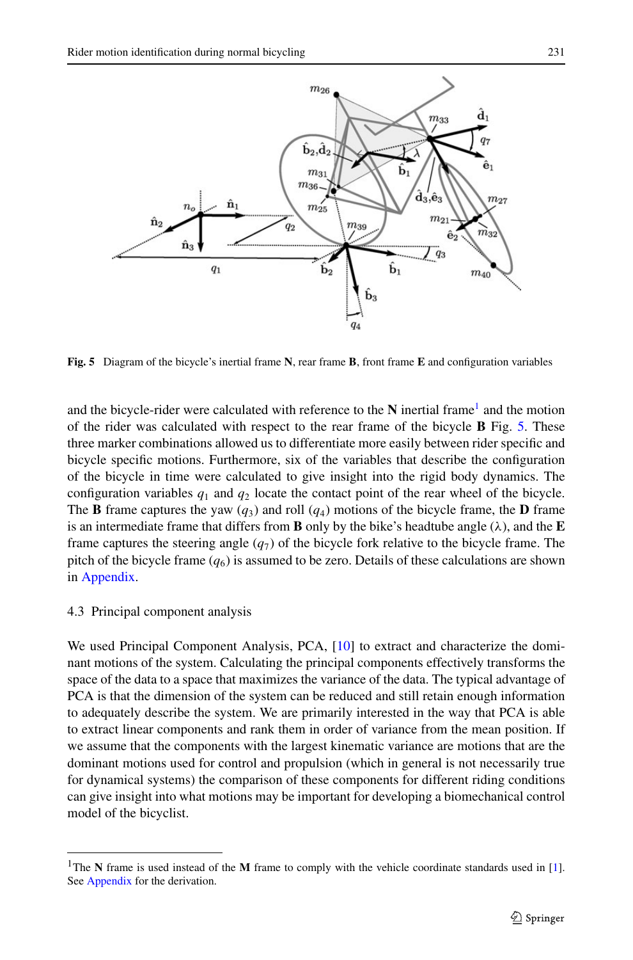

<span id="page-6-1"></span>**Fig. 5** Diagram of the bicycle's inertial frame **N**, rear frame **B**, front frame **E** and configuration variables

and the bicycle-rider were calculated with reference to the  $N$  inertial frame<sup>[1](#page-6-0)</sup> and the motion of the rider was calculated with respect to the rear frame of the bicycle **B** Fig. [5](#page-6-1). These three marker combinations allowed us to differentiate more easily between rider specific and bicycle specific motions. Furthermore, six of the variables that describe the configuration of the bicycle in time were calculated to give insight into the rigid body dynamics. The configuration variables  $q_1$  and  $q_2$  locate the contact point of the rear wheel of the bicycle. The **B** frame captures the yaw  $(q_3)$  and roll  $(q_4)$  motions of the bicycle frame, the **D** frame is an intermediate frame that differs from **B** only by the bike's headtube angle  $(\lambda)$ , and the **E** frame captures the steering angle  $(q<sub>7</sub>)$  of the bicycle fork relative to the bicycle frame. The pitch of the bicycle frame  $(q_6)$  is assumed to be zero. Details of these calculations are shown in [Appendix.](#page-17-0)

### 4.3 Principal component analysis

<span id="page-6-0"></span>We used Principal Component Analysis, PCA, [[10](#page-19-5)] to extract and characterize the dominant motions of the system. Calculating the principal components effectively transforms the space of the data to a space that maximizes the variance of the data. The typical advantage of PCA is that the dimension of the system can be reduced and still retain enough information to adequately describe the system. We are primarily interested in the way that PCA is able to extract linear components and rank them in order of variance from the mean position. If we assume that the components with the largest kinematic variance are motions that are the dominant motions used for control and propulsion (which in general is not necessarily true for dynamical systems) the comparison of these components for different riding conditions can give insight into what motions may be important for developing a biomechanical control model of the bicyclist.

<sup>&</sup>lt;sup>1</sup>The **N** frame is used instead of the **M** frame to comply with the vehicle coordinate standards used in [[1\]](#page-18-0). See [Appendix](#page-17-0) for the derivation.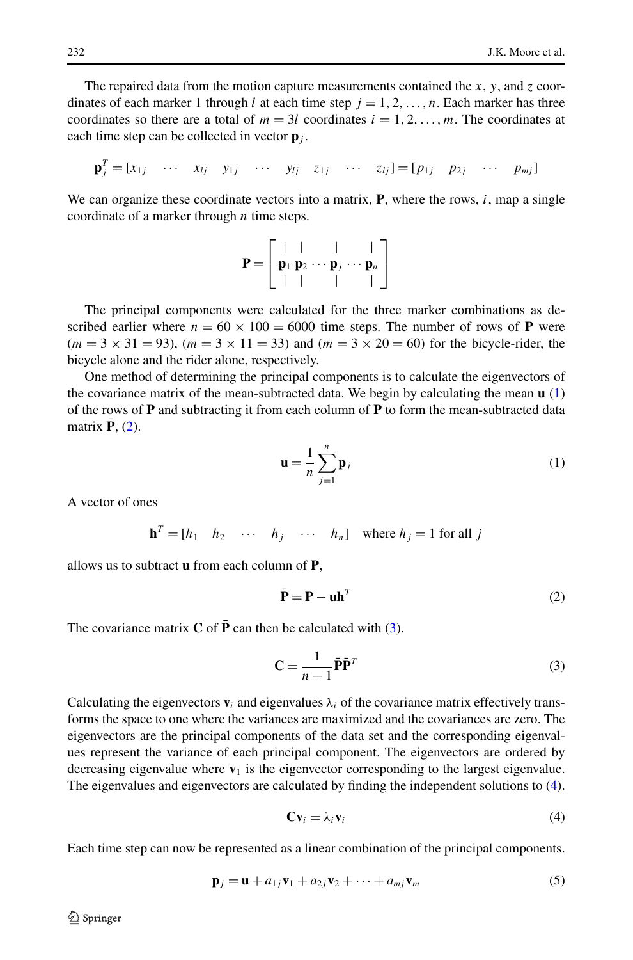The repaired data from the motion capture measurements contained the *x*, *y*, and *z* coordinates of each marker 1 through *l* at each time step  $j = 1, 2, \ldots, n$ . Each marker has three coordinates so there are a total of  $m = 3l$  coordinates  $i = 1, 2, \ldots, m$ . The coordinates at each time step can be collected in vector  $\mathbf{p}_i$ .

$$
\mathbf{p}_j^T = [x_{1j} \quad \cdots \quad x_{lj} \quad y_{1j} \quad \cdots \quad y_{lj} \quad z_{1j} \quad \cdots \quad z_{lj}] = [p_{1j} \quad p_{2j} \quad \cdots \quad p_{mj}]
$$

We can organize these coordinate vectors into a matrix, **P**, where the rows, *i*, map a single coordinate of a marker through *n* time steps.

$$
\mathbf{P} = \left[ \begin{array}{cccc} | & | & | & | \\ \mathbf{p}_1 & \mathbf{p}_2 & \cdots & \mathbf{p}_j & \cdots & \mathbf{p}_n \\ | & | & | & | & | \end{array} \right]
$$

The principal components were calculated for the three marker combinations as described earlier where  $n = 60 \times 100 = 6000$  time steps. The number of rows of **P** were  $(m = 3 \times 31 = 93)$ ,  $(m = 3 \times 11 = 33)$  and  $(m = 3 \times 20 = 60)$  for the bicycle-rider, the bicycle alone and the rider alone, respectively.

One method of determining the principal components is to calculate the eigenvectors of the covariance matrix of the mean-subtracted data. We begin by calculating the mean **u** ([1](#page-7-0)) of the rows of **P** and subtracting it from each column of **P** to form the mean-subtracted data matrix  $P(2)$  $P(2)$ .

<span id="page-7-1"></span><span id="page-7-0"></span>
$$
\mathbf{u} = \frac{1}{n} \sum_{j=1}^{n} \mathbf{p}_{j}
$$
 (1)

A vector of ones

 $\mathbf{h}^T = [h_1 \quad h_2 \quad \cdots \quad h_j \quad \cdots \quad h_n]$  where  $h_j = 1$  for all *j* 

allows us to subtract **u** from each column of **P**,

<span id="page-7-2"></span>
$$
\bar{\mathbf{P}} = \mathbf{P} - \mathbf{u}\mathbf{h}^T \tag{2}
$$

The covariance matrix  $C$  of  $\bar{P}$  can then be calculated with ([3](#page-7-2)).

<span id="page-7-3"></span>
$$
\mathbf{C} = \frac{1}{n-1} \bar{\mathbf{P}} \bar{\mathbf{P}}^T
$$
 (3)

Calculating the eigenvectors  $\mathbf{v}_i$  and eigenvalues  $\lambda_i$  of the covariance matrix effectively transforms the space to one where the variances are maximized and the covariances are zero. The eigenvectors are the principal components of the data set and the corresponding eigenvalues represent the variance of each principal component. The eigenvectors are ordered by decreasing eigenvalue where  $\mathbf{v}_1$  is the eigenvector corresponding to the largest eigenvalue. The eigenvalues and eigenvectors are calculated by finding the independent solutions to [\(4](#page-7-3)).

<span id="page-7-4"></span>
$$
Cv_i = \lambda_i v_i \tag{4}
$$

Each time step can now be represented as a linear combination of the principal components.

$$
\mathbf{p}_j = \mathbf{u} + a_{1j}\mathbf{v}_1 + a_{2j}\mathbf{v}_2 + \dots + a_{mj}\mathbf{v}_m
$$
 (5)

 $\mathcal{D}$  Springer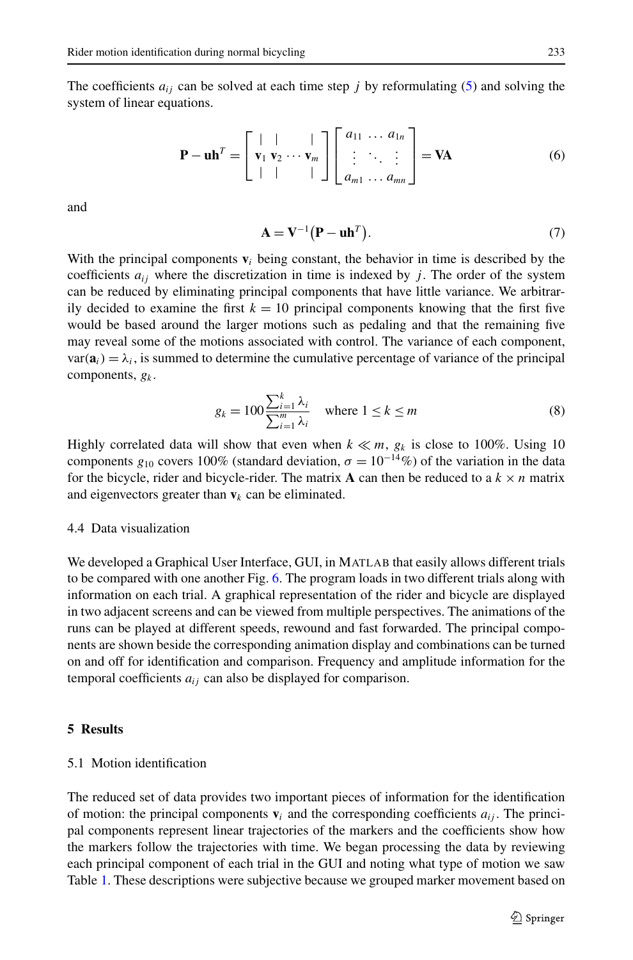The coefficients  $a_{ij}$  can be solved at each time step *j* by reformulating [\(5](#page-7-4)) and solving the system of linear equations.

$$
\mathbf{P} - \mathbf{u}\mathbf{h}^T = \begin{bmatrix} | & | & | \\ \mathbf{v}_1 & \mathbf{v}_2 & \cdots & \mathbf{v}_m \\ | & | & | & | \end{bmatrix} \begin{bmatrix} a_{11} & \cdots & a_{1n} \\ \vdots & \ddots & \vdots \\ a_{m1} & \cdots & a_{mn} \end{bmatrix} = \mathbf{V}\mathbf{A}
$$
 (6)

and

$$
\mathbf{A} = \mathbf{V}^{-1} \left( \mathbf{P} - \mathbf{u} \mathbf{h}^{T} \right). \tag{7}
$$

With the principal components  $\mathbf{v}_i$  being constant, the behavior in time is described by the coefficients  $a_{ij}$  where the discretization in time is indexed by *j*. The order of the system can be reduced by eliminating principal components that have little variance. We arbitrarily decided to examine the first  $k = 10$  principal components knowing that the first five would be based around the larger motions such as pedaling and that the remaining five may reveal some of the motions associated with control. The variance of each component,  $var(\mathbf{a}_i) = \lambda_i$ , is summed to determine the cumulative percentage of variance of the principal components, *gk* .

$$
g_k = 100 \frac{\sum_{i=1}^k \lambda_i}{\sum_{i=1}^m \lambda_i} \quad \text{where } 1 \le k \le m \tag{8}
$$

Highly correlated data will show that even when  $k \ll m$ ,  $g_k$  is close to 100%. Using 10 components  $g_{10}$  covers 100% (standard deviation,  $\sigma = 10^{-14}$ %) of the variation in the data for the bicycle, rider and bicycle-rider. The matrix **A** can then be reduced to a  $k \times n$  matrix and eigenvectors greater than  $v_k$  can be eliminated.

## 4.4 Data visualization

We developed a Graphical User Interface, GUI, in MATLAB that easily allows different trials to be compared with one another Fig. [6.](#page-9-0) The program loads in two different trials along with information on each trial. A graphical representation of the rider and bicycle are displayed in two adjacent screens and can be viewed from multiple perspectives. The animations of the runs can be played at different speeds, rewound and fast forwarded. The principal components are shown beside the corresponding animation display and combinations can be turned on and off for identification and comparison. Frequency and amplitude information for the temporal coefficients  $a_{ij}$  can also be displayed for comparison.

## **5 Results**

### 5.1 Motion identification

The reduced set of data provides two important pieces of information for the identification of motion: the principal components  $\mathbf{v}_i$  and the corresponding coefficients  $a_{ij}$ . The principal components represent linear trajectories of the markers and the coefficients show how the markers follow the trajectories with time. We began processing the data by reviewing each principal component of each trial in the GUI and noting what type of motion we saw Table [1.](#page-9-1) These descriptions were subjective because we grouped marker movement based on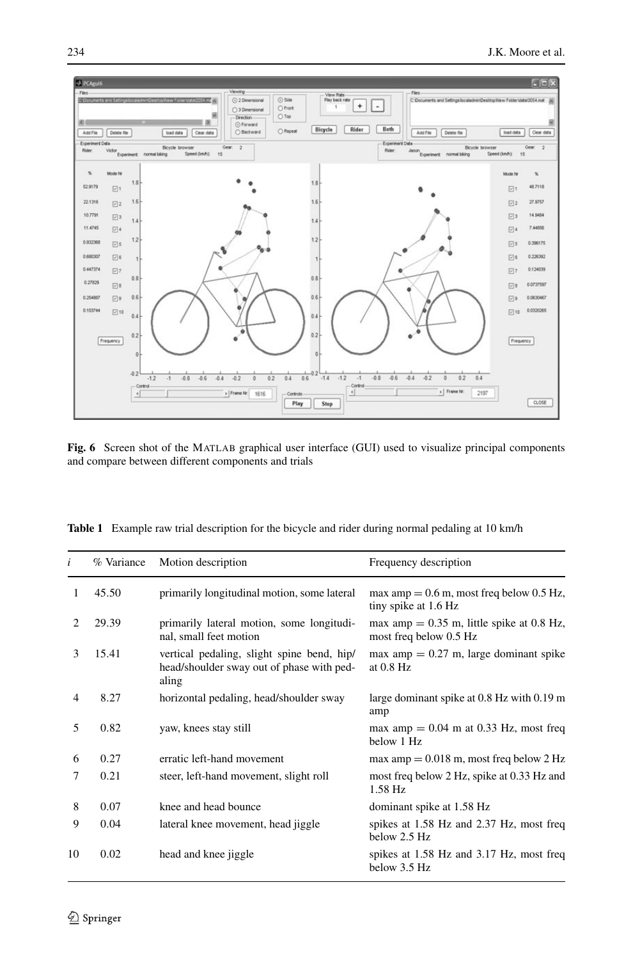

<span id="page-9-1"></span><span id="page-9-0"></span>**Fig. 6** Screen shot of the MATLAB graphical user interface (GUI) used to visualize principal components and compare between different components and trials

|  |  |  | <b>Table 1</b> Example raw trial description for the bicycle and rider during normal pedaling at 10 km/h |  |  |
|--|--|--|----------------------------------------------------------------------------------------------------------|--|--|
|--|--|--|----------------------------------------------------------------------------------------------------------|--|--|

| i                           | % Variance | Motion description                                                                               | Frequency description                                                 |
|-----------------------------|------------|--------------------------------------------------------------------------------------------------|-----------------------------------------------------------------------|
| 1                           | 45.50      | primarily longitudinal motion, some lateral                                                      | max amp $= 0.6$ m, most freq below 0.5 Hz,<br>tiny spike at 1.6 Hz    |
| $\mathcal{D}_{\mathcal{L}}$ | 29.39      | primarily lateral motion, some longitudi-<br>nal, small feet motion                              | max amp $= 0.35$ m, little spike at 0.8 Hz,<br>most freq below 0.5 Hz |
| 3                           | 15.41      | vertical pedaling, slight spine bend, hip/<br>head/shoulder sway out of phase with ped-<br>aling | $max amp = 0.27 m$ , large dominant spike<br>at $0.8$ Hz              |
| 4                           | 8.27       | horizontal pedaling, head/shoulder sway                                                          | large dominant spike at 0.8 Hz with 0.19 m<br>amp                     |
| 5                           | 0.82       | yaw, knees stay still                                                                            | max amp $= 0.04$ m at 0.33 Hz, most freq<br>below 1 Hz                |
| 6                           | 0.27       | erratic left-hand movement                                                                       | $max amp = 0.018 m$ , most freq below 2 Hz                            |
| 7                           | 0.21       | steer, left-hand movement, slight roll                                                           | most freq below 2 Hz, spike at 0.33 Hz and<br>1.58 Hz                 |
| 8                           | 0.07       | knee and head bounce                                                                             | dominant spike at 1.58 Hz                                             |
| 9                           | 0.04       | lateral knee movement, head jiggle                                                               | spikes at 1.58 Hz and 2.37 Hz, most freq<br>below 2.5 Hz              |
| 10                          | 0.02       | head and knee jiggle                                                                             | spikes at 1.58 Hz and 3.17 Hz, most freq<br>below 3.5 Hz              |
|                             |            |                                                                                                  |                                                                       |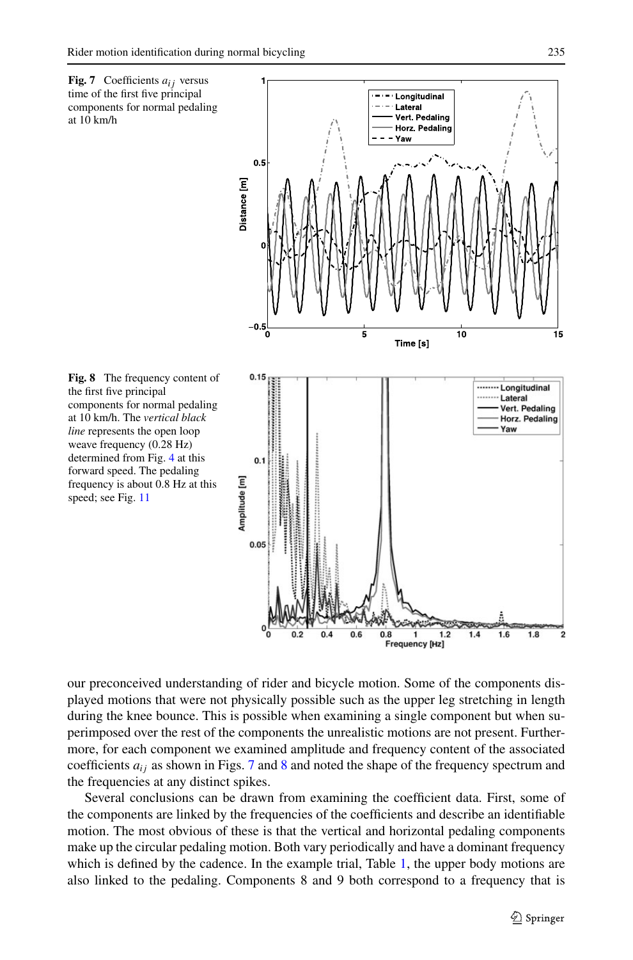<span id="page-10-1"></span><span id="page-10-0"></span>

our preconceived understanding of rider and bicycle motion. Some of the components displayed motions that were not physically possible such as the upper leg stretching in length during the knee bounce. This is possible when examining a single component but when superimposed over the rest of the components the unrealistic motions are not present. Furthermore, for each component we examined amplitude and frequency content of the associated coefficients  $a_{ij}$  as shown in Figs. [7](#page-10-0) and [8](#page-10-1) and noted the shape of the frequency spectrum and the frequencies at any distinct spikes.

Several conclusions can be drawn from examining the coefficient data. First, some of the components are linked by the frequencies of the coefficients and describe an identifiable motion. The most obvious of these is that the vertical and horizontal pedaling components make up the circular pedaling motion. Both vary periodically and have a dominant frequency which is defined by the cadence. In the example trial, Table [1](#page-9-1), the upper body motions are also linked to the pedaling. Components 8 and 9 both correspond to a frequency that is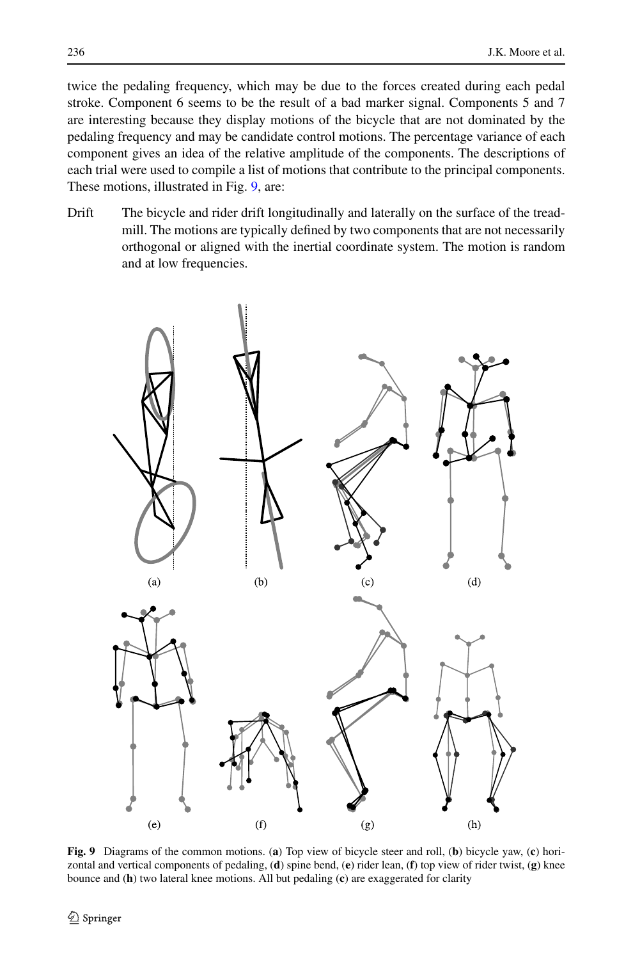twice the pedaling frequency, which may be due to the forces created during each pedal stroke. Component 6 seems to be the result of a bad marker signal. Components 5 and 7 are interesting because they display motions of the bicycle that are not dominated by the pedaling frequency and may be candidate control motions. The percentage variance of each component gives an idea of the relative amplitude of the components. The descriptions of each trial were used to compile a list of motions that contribute to the principal components. These motions, illustrated in Fig. [9](#page-11-0), are:

Drift The bicycle and rider drift longitudinally and laterally on the surface of the treadmill. The motions are typically defined by two components that are not necessarily orthogonal or aligned with the inertial coordinate system. The motion is random and at low frequencies.



<span id="page-11-0"></span>**Fig. 9** Diagrams of the common motions. (**a**) Top view of bicycle steer and roll, (**b**) bicycle yaw, (**c**) horizontal and vertical components of pedaling, (**d**) spine bend, (**e**) rider lean, (**f**) top view of rider twist, (**g**) knee bounce and (**h**) two lateral knee motions. All but pedaling (**c**) are exaggerated for clarity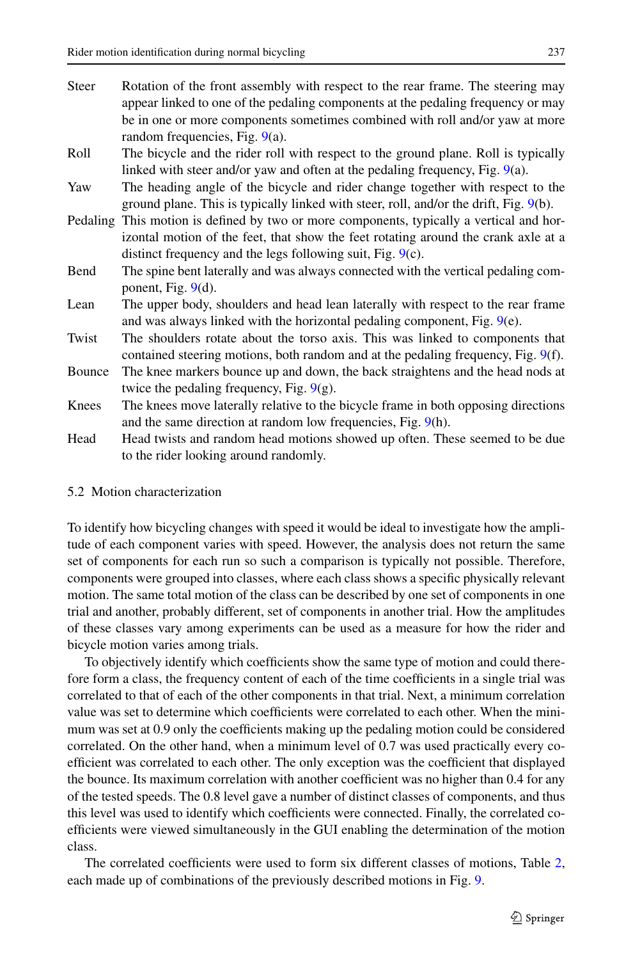- Steer Rotation of the front assembly with respect to the rear frame. The steering may appear linked to one of the pedaling components at the pedaling frequency or may be in one or more components sometimes combined with roll and/or yaw at more random frequencies, Fig. [9](#page-11-0)(a).
- Roll The bicycle and the rider roll with respect to the ground plane. Roll is typically linked with steer and/or yaw and often at the pedaling frequency, Fig. [9](#page-11-0)(a).
- Yaw The heading angle of the bicycle and rider change together with respect to the ground plane. This is typically linked with steer, roll, and/or the drift, Fig. [9](#page-11-0)(b).
- Pedaling This motion is defined by two or more components, typically a vertical and horizontal motion of the feet, that show the feet rotating around the crank axle at a distinct frequency and the legs following suit, Fig. [9\(](#page-11-0)c).
- Bend The spine bent laterally and was always connected with the vertical pedaling component, Fig. [9](#page-11-0)(d).
- Lean The upper body, shoulders and head lean laterally with respect to the rear frame and was always linked with the horizontal pedaling component, Fig. [9\(](#page-11-0)e).
- Twist The shoulders rotate about the torso axis. This was linked to components that contained steering motions, both random and at the pedaling frequency, Fig. [9\(](#page-11-0)f).
- Bounce The knee markers bounce up and down, the back straightens and the head nods at twice the pedaling frequency, Fig.  $9(g)$  $9(g)$ .
- Knees The knees move laterally relative to the bicycle frame in both opposing directions and the same direction at random low frequencies, Fig. [9\(](#page-11-0)h).
- Head Head twists and random head motions showed up often. These seemed to be due to the rider looking around randomly.

## 5.2 Motion characterization

To identify how bicycling changes with speed it would be ideal to investigate how the amplitude of each component varies with speed. However, the analysis does not return the same set of components for each run so such a comparison is typically not possible. Therefore, components were grouped into classes, where each class shows a specific physically relevant motion. The same total motion of the class can be described by one set of components in one trial and another, probably different, set of components in another trial. How the amplitudes of these classes vary among experiments can be used as a measure for how the rider and bicycle motion varies among trials.

To objectively identify which coefficients show the same type of motion and could therefore form a class, the frequency content of each of the time coefficients in a single trial was correlated to that of each of the other components in that trial. Next, a minimum correlation value was set to determine which coefficients were correlated to each other. When the minimum was set at 0.9 only the coefficients making up the pedaling motion could be considered correlated. On the other hand, when a minimum level of 0.7 was used practically every coefficient was correlated to each other. The only exception was the coefficient that displayed the bounce. Its maximum correlation with another coefficient was no higher than 0.4 for any of the tested speeds. The 0.8 level gave a number of distinct classes of components, and thus this level was used to identify which coefficients were connected. Finally, the correlated coefficients were viewed simultaneously in the GUI enabling the determination of the motion class.

The correlated coefficients were used to form six different classes of motions, Table [2](#page-13-0), each made up of combinations of the previously described motions in Fig. [9](#page-11-0).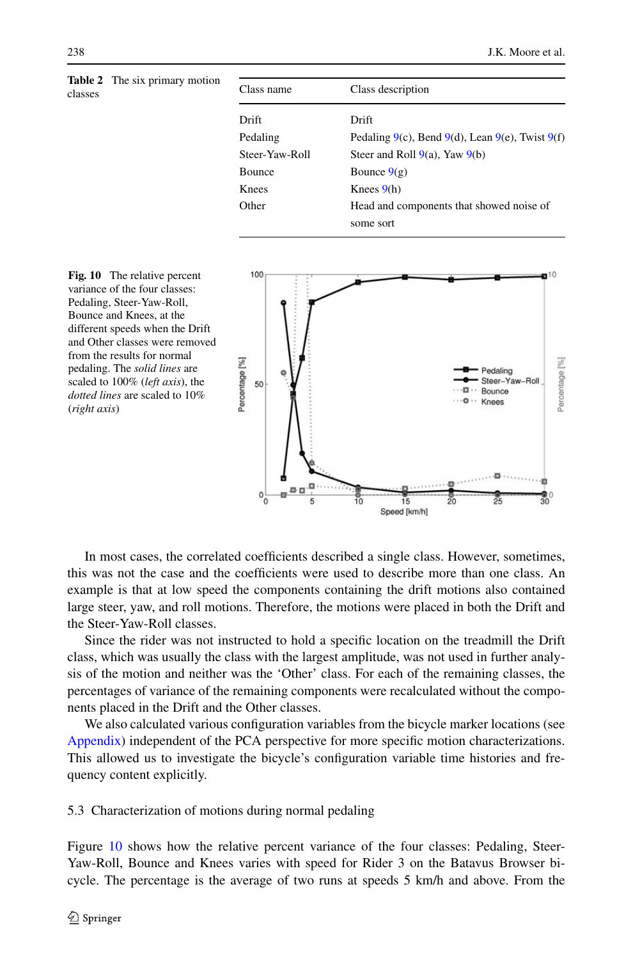<span id="page-13-0"></span>

|         | <b>Table 2</b> The six primary motion |                |                                                            |  |
|---------|---------------------------------------|----------------|------------------------------------------------------------|--|
| classes |                                       | Class name     | Class description                                          |  |
|         |                                       | Drift          | Drift                                                      |  |
|         |                                       | Pedaling       | Pedaling $9(c)$ , Bend $9(d)$ , Lean $9(e)$ , Twist $9(f)$ |  |
|         |                                       | Steer-Yaw-Roll | Steer and Roll $9(a)$ , Yaw $9(b)$                         |  |
|         |                                       | Bounce         | Bounce $9(g)$                                              |  |
|         |                                       | Knees          | Knees $9(h)$                                               |  |

Other Head and components that showed noise of some sort

<span id="page-13-1"></span>

In most cases, the correlated coefficients described a single class. However, sometimes, this was not the case and the coefficients were used to describe more than one class. An example is that at low speed the components containing the drift motions also contained large steer, yaw, and roll motions. Therefore, the motions were placed in both the Drift and the Steer-Yaw-Roll classes.

Since the rider was not instructed to hold a specific location on the treadmill the Drift class, which was usually the class with the largest amplitude, was not used in further analysis of the motion and neither was the 'Other' class. For each of the remaining classes, the percentages of variance of the remaining components were recalculated without the components placed in the Drift and the Other classes.

We also calculated various configuration variables from the bicycle marker locations (see [Appendix](#page-17-0)) independent of the PCA perspective for more specific motion characterizations. This allowed us to investigate the bicycle's configuration variable time histories and frequency content explicitly.

5.3 Characterization of motions during normal pedaling

Figure [10](#page-13-1) shows how the relative percent variance of the four classes: Pedaling, Steer-Yaw-Roll, Bounce and Knees varies with speed for Rider 3 on the Batavus Browser bicycle. The percentage is the average of two runs at speeds 5 km/h and above. From the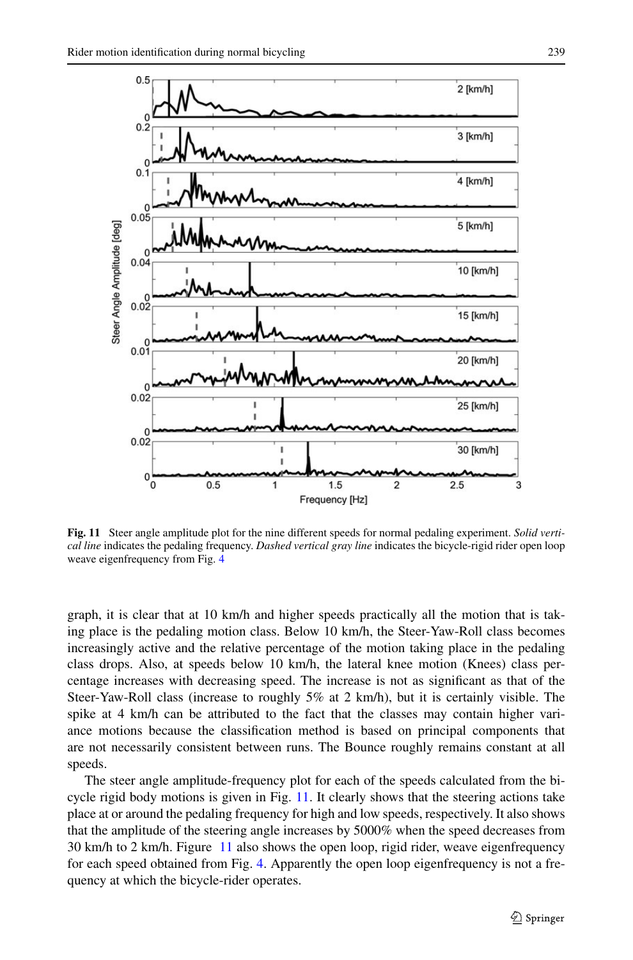

<span id="page-14-0"></span>**Fig. 11** Steer angle amplitude plot for the nine different speeds for normal pedaling experiment. *Solid vertical line* indicates the pedaling frequency. *Dashed vertical gray line* indicates the bicycle-rigid rider open loop weave eigenfrequency from Fig. [4](#page-5-0)

graph, it is clear that at 10 km/h and higher speeds practically all the motion that is taking place is the pedaling motion class. Below 10 km/h, the Steer-Yaw-Roll class becomes increasingly active and the relative percentage of the motion taking place in the pedaling class drops. Also, at speeds below 10 km/h, the lateral knee motion (Knees) class percentage increases with decreasing speed. The increase is not as significant as that of the Steer-Yaw-Roll class (increase to roughly 5% at 2 km/h), but it is certainly visible. The spike at 4 km/h can be attributed to the fact that the classes may contain higher variance motions because the classification method is based on principal components that are not necessarily consistent between runs. The Bounce roughly remains constant at all speeds.

The steer angle amplitude-frequency plot for each of the speeds calculated from the bi-cycle rigid body motions is given in Fig. [11.](#page-14-0) It clearly shows that the steering actions take place at or around the pedaling frequency for high and low speeds, respectively. It also shows that the amplitude of the steering angle increases by 5000% when the speed decreases from 30 km/h to 2 km/h. Figure [11](#page-14-0) also shows the open loop, rigid rider, weave eigenfrequency for each speed obtained from Fig. [4](#page-5-0). Apparently the open loop eigenfrequency is not a frequency at which the bicycle-rider operates.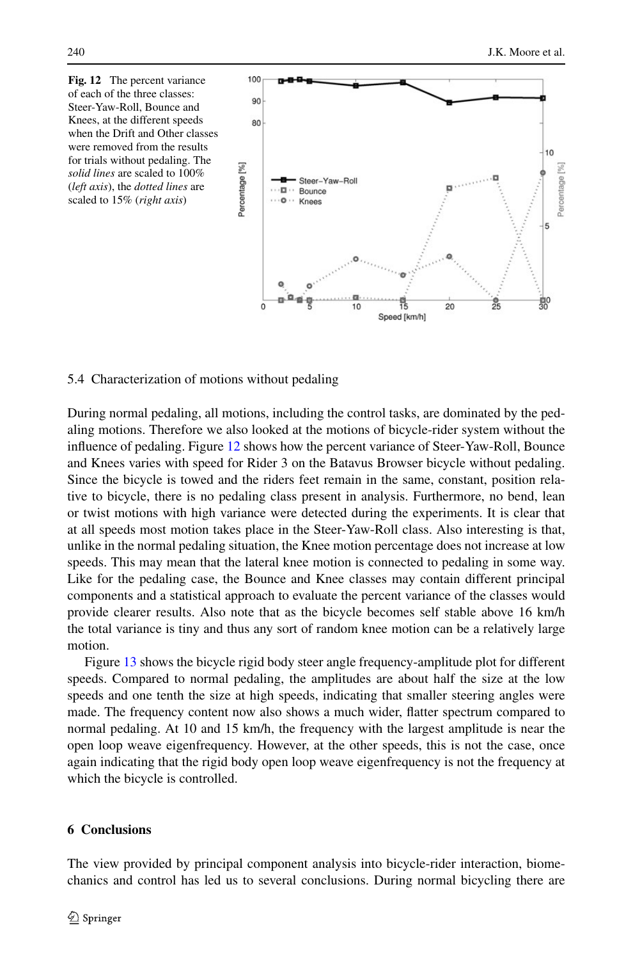<span id="page-15-0"></span>

5.4 Characterization of motions without pedaling

During normal pedaling, all motions, including the control tasks, are dominated by the pedaling motions. Therefore we also looked at the motions of bicycle-rider system without the influence of pedaling. Figure [12](#page-15-0) shows how the percent variance of Steer-Yaw-Roll, Bounce and Knees varies with speed for Rider 3 on the Batavus Browser bicycle without pedaling. Since the bicycle is towed and the riders feet remain in the same, constant, position relative to bicycle, there is no pedaling class present in analysis. Furthermore, no bend, lean or twist motions with high variance were detected during the experiments. It is clear that at all speeds most motion takes place in the Steer-Yaw-Roll class. Also interesting is that, unlike in the normal pedaling situation, the Knee motion percentage does not increase at low speeds. This may mean that the lateral knee motion is connected to pedaling in some way. Like for the pedaling case, the Bounce and Knee classes may contain different principal components and a statistical approach to evaluate the percent variance of the classes would provide clearer results. Also note that as the bicycle becomes self stable above 16 km/h the total variance is tiny and thus any sort of random knee motion can be a relatively large motion.

Figure [13](#page-16-0) shows the bicycle rigid body steer angle frequency-amplitude plot for different speeds. Compared to normal pedaling, the amplitudes are about half the size at the low speeds and one tenth the size at high speeds, indicating that smaller steering angles were made. The frequency content now also shows a much wider, flatter spectrum compared to normal pedaling. At 10 and 15 km/h, the frequency with the largest amplitude is near the open loop weave eigenfrequency. However, at the other speeds, this is not the case, once again indicating that the rigid body open loop weave eigenfrequency is not the frequency at which the bicycle is controlled.

#### **6 Conclusions**

The view provided by principal component analysis into bicycle-rider interaction, biomechanics and control has led us to several conclusions. During normal bicycling there are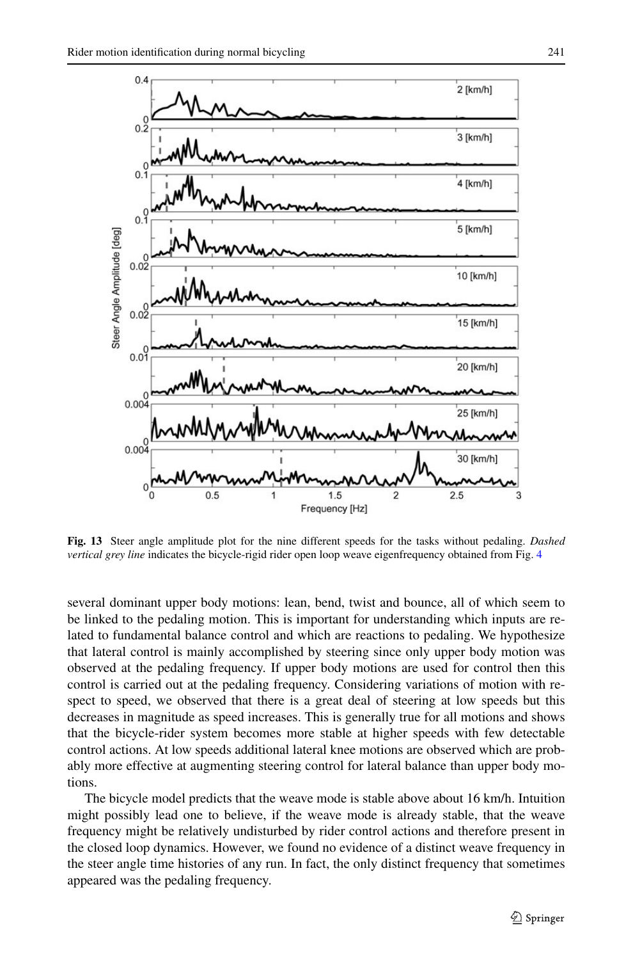

<span id="page-16-0"></span>**Fig. 13** Steer angle amplitude plot for the nine different speeds for the tasks without pedaling. *Dashed vertical grey line* indicates the bicycle-rigid rider open loop weave eigenfrequency obtained from Fig. [4](#page-5-0)

several dominant upper body motions: lean, bend, twist and bounce, all of which seem to be linked to the pedaling motion. This is important for understanding which inputs are related to fundamental balance control and which are reactions to pedaling. We hypothesize that lateral control is mainly accomplished by steering since only upper body motion was observed at the pedaling frequency. If upper body motions are used for control then this control is carried out at the pedaling frequency. Considering variations of motion with respect to speed, we observed that there is a great deal of steering at low speeds but this decreases in magnitude as speed increases. This is generally true for all motions and shows that the bicycle-rider system becomes more stable at higher speeds with few detectable control actions. At low speeds additional lateral knee motions are observed which are probably more effective at augmenting steering control for lateral balance than upper body motions.

The bicycle model predicts that the weave mode is stable above about 16 km/h. Intuition might possibly lead one to believe, if the weave mode is already stable, that the weave frequency might be relatively undisturbed by rider control actions and therefore present in the closed loop dynamics. However, we found no evidence of a distinct weave frequency in the steer angle time histories of any run. In fact, the only distinct frequency that sometimes appeared was the pedaling frequency.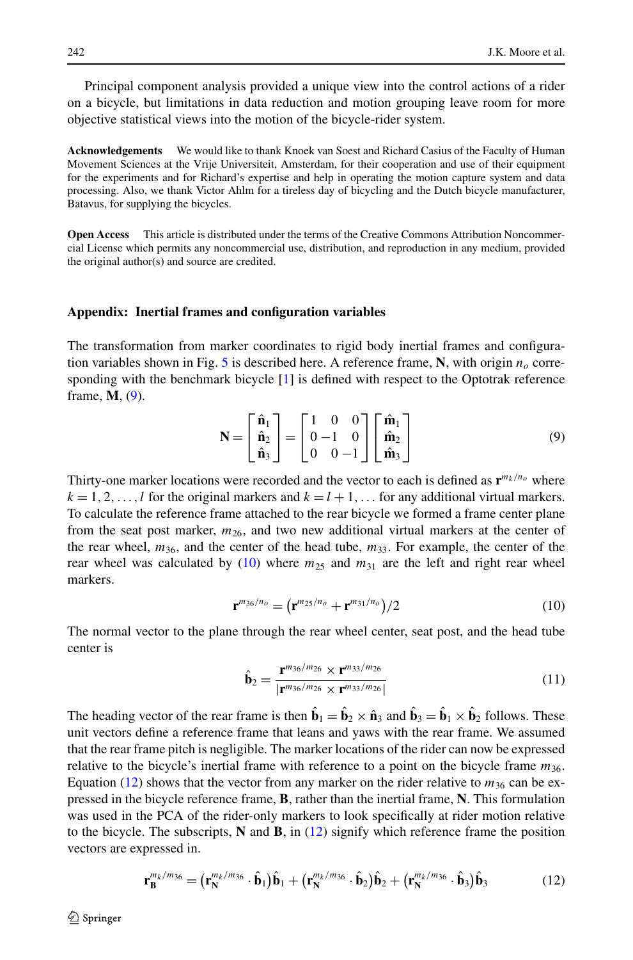Principal component analysis provided a unique view into the control actions of a rider on a bicycle, but limitations in data reduction and motion grouping leave room for more objective statistical views into the motion of the bicycle-rider system.

**Acknowledgements** We would like to thank Knoek van Soest and Richard Casius of the Faculty of Human Movement Sciences at the Vrije Universiteit, Amsterdam, for their cooperation and use of their equipment for the experiments and for Richard's expertise and help in operating the motion capture system and data processing. Also, we thank Victor Ahlm for a tireless day of bicycling and the Dutch bicycle manufacturer, Batavus, for supplying the bicycles.

<span id="page-17-0"></span>**Open Access** This article is distributed under the terms of the Creative Commons Attribution Noncommercial License which permits any noncommercial use, distribution, and reproduction in any medium, provided the original author(s) and source are credited.

#### **Appendix: Inertial frames and configuration variables**

The transformation from marker coordinates to rigid body inertial frames and configura-tion variables shown in Fig. [5](#page-6-1) is described here. A reference frame,  $N$ , with origin  $n<sub>o</sub>$  corresponding with the benchmark bicycle  $[1]$  $[1]$  is defined with respect to the Optotrak reference frame, **M**, ([9](#page-17-1)).

<span id="page-17-2"></span><span id="page-17-1"></span>
$$
\mathbf{N} = \begin{bmatrix} \hat{\mathbf{n}}_1 \\ \hat{\mathbf{n}}_2 \\ \hat{\mathbf{n}}_3 \end{bmatrix} = \begin{bmatrix} 1 & 0 & 0 \\ 0 & -1 & 0 \\ 0 & 0 & -1 \end{bmatrix} \begin{bmatrix} \hat{\mathbf{m}}_1 \\ \hat{\mathbf{m}}_2 \\ \hat{\mathbf{m}}_3 \end{bmatrix}
$$
(9)

Thirty-one marker locations were recorded and the vector to each is defined as  $\mathbf{r}^{m_k/n_o}$  where  $k = 1, 2, \ldots, l$  for the original markers and  $k = l + 1, \ldots$  for any additional virtual markers. To calculate the reference frame attached to the rear bicycle we formed a frame center plane from the seat post marker,  $m_{26}$ , and two new additional virtual markers at the center of the rear wheel,  $m_{36}$ , and the center of the head tube,  $m_{33}$ . For example, the center of the rear wheel was calculated by  $(10)$  where  $m_{25}$  and  $m_{31}$  are the left and right rear wheel markers.

$$
\mathbf{r}^{m_{36}/n_o} = (\mathbf{r}^{m_{25}/n_o} + \mathbf{r}^{m_{31}/n_o})/2
$$
 (10)

The normal vector to the plane through the rear wheel center, seat post, and the head tube center is

<span id="page-17-3"></span>
$$
\hat{\mathbf{b}}_2 = \frac{\mathbf{r}^{m_{36}/m_{26}} \times \mathbf{r}^{m_{33}/m_{26}}}{|\mathbf{r}^{m_{36}/m_{26}} \times \mathbf{r}^{m_{33}/m_{26}}|} \tag{11}
$$

The heading vector of the rear frame is then  $\hat{\mathbf{b}}_1 = \hat{\mathbf{b}}_2 \times \hat{\mathbf{n}}_3$  and  $\hat{\mathbf{b}}_3 = \hat{\mathbf{b}}_1 \times \hat{\mathbf{b}}_2$  follows. These unit vectors define a reference frame that leans and yaws with the rear frame. We assumed that the rear frame pitch is negligible. The marker locations of the rider can now be expressed relative to the bicycle's inertial frame with reference to a point on the bicycle frame *m*36. Equation ([12](#page-17-3)) shows that the vector from any marker on the rider relative to  $m_{36}$  can be expressed in the bicycle reference frame, **B**, rather than the inertial frame, **N**. This formulation was used in the PCA of the rider-only markers to look specifically at rider motion relative to the bicycle. The subscripts, **N** and **B**, in ([12](#page-17-3)) signify which reference frame the position vectors are expressed in.

$$
\mathbf{r}_{\mathbf{B}}^{m_k/m_{36}} = (\mathbf{r}_{\mathbf{N}}^{m_k/m_{36}} \cdot \hat{\mathbf{b}}_1) \hat{\mathbf{b}}_1 + (\mathbf{r}_{\mathbf{N}}^{m_k/m_{36}} \cdot \hat{\mathbf{b}}_2) \hat{\mathbf{b}}_2 + (\mathbf{r}_{\mathbf{N}}^{m_k/m_{36}} \cdot \hat{\mathbf{b}}_3) \hat{\mathbf{b}}_3
$$
(12)

 $\mathcal{D}$  Springer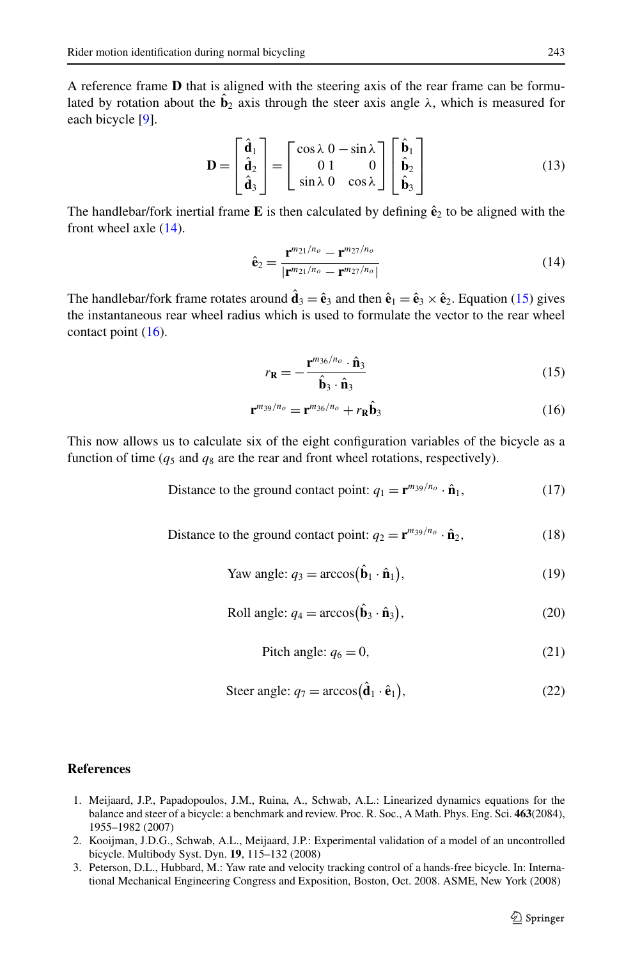A reference frame **D** that is aligned with the steering axis of the rear frame can be formulated by rotation about the  $\mathbf{b}_2$  axis through the steer axis angle  $\lambda$ , which is measured for each bicycle [\[9\]](#page-19-4).

$$
\mathbf{D} = \begin{bmatrix} \hat{\mathbf{d}}_1 \\ \hat{\mathbf{d}}_2 \\ \hat{\mathbf{d}}_3 \end{bmatrix} = \begin{bmatrix} \cos \lambda & 0 & -\sin \lambda \\ 0 & 1 & 0 \\ \sin \lambda & 0 & \cos \lambda \end{bmatrix} \begin{bmatrix} \hat{\mathbf{b}}_1 \\ \hat{\mathbf{b}}_2 \\ \hat{\mathbf{b}}_3 \end{bmatrix} \tag{13}
$$

The handlebar/fork inertial frame **E** is then calculated by defining  $\hat{\mathbf{e}}_2$  to be aligned with the front wheel axle ([14](#page-18-3)).

<span id="page-18-5"></span><span id="page-18-4"></span><span id="page-18-3"></span>
$$
\hat{\mathbf{e}}_2 = \frac{\mathbf{r}^{m_{21}/n_o} - \mathbf{r}^{m_{27}/n_o}}{|\mathbf{r}^{m_{21}/n_o} - \mathbf{r}^{m_{27}/n_o}|}\tag{14}
$$

The handlebar/fork frame rotates around  $\hat{\mathbf{d}}_3 = \hat{\mathbf{e}}_3$  and then  $\hat{\mathbf{e}}_1 = \hat{\mathbf{e}}_3 \times \hat{\mathbf{e}}_2$ . Equation [\(15](#page-18-4)) gives the instantaneous rear wheel radius which is used to formulate the vector to the rear wheel contact point  $(16)$  $(16)$ .

$$
r_{\mathbf{R}} = -\frac{\mathbf{r}^{m_{36}/n_{o}} \cdot \hat{\mathbf{n}}_{3}}{\hat{\mathbf{b}}_{3} \cdot \hat{\mathbf{n}}_{3}}
$$
(15)

$$
\mathbf{r}^{m_{39}/n_o} = \mathbf{r}^{m_{36}/n_o} + r_{\mathbf{R}} \hat{\mathbf{b}}_3 \tag{16}
$$

This now allows us to calculate six of the eight configuration variables of the bicycle as a function of time  $(q_5 \text{ and } q_8 \text{ are the rear and front wheel rotations, respectively).$ 

Distance to the ground contact point: 
$$
q_1 = \mathbf{r}^{m_{39}/n_o} \cdot \hat{\mathbf{n}}_1,
$$
 (17)

Distance to the ground contact point: 
$$
q_2 = \mathbf{r}^{m_{39}/n_o} \cdot \hat{\mathbf{n}}_2
$$
, (18)

$$
\text{Yaw angle: } q_3 = \arccos(\hat{\mathbf{b}}_1 \cdot \hat{\mathbf{n}}_1),\tag{19}
$$

Roll angle: 
$$
q_4 = \arccos(\hat{\mathbf{b}}_3 \cdot \hat{\mathbf{n}}_3)
$$
, (20)

$$
Pitch angle: q_6 = 0,
$$
\n(21)

$$
\text{Steer angle: } q_7 = \arccos(\hat{\mathbf{d}}_1 \cdot \hat{\mathbf{e}}_1),\tag{22}
$$

# <span id="page-18-2"></span><span id="page-18-1"></span><span id="page-18-0"></span>**References**

- 1. Meijaard, J.P., Papadopoulos, J.M., Ruina, A., Schwab, A.L.: Linearized dynamics equations for the balance and steer of a bicycle: a benchmark and review. Proc. R. Soc., A Math. Phys. Eng. Sci. **463**(2084), 1955–1982 (2007)
- 2. Kooijman, J.D.G., Schwab, A.L., Meijaard, J.P.: Experimental validation of a model of an uncontrolled bicycle. Multibody Syst. Dyn. **19**, 115–132 (2008)
- 3. Peterson, D.L., Hubbard, M.: Yaw rate and velocity tracking control of a hands-free bicycle. In: International Mechanical Engineering Congress and Exposition, Boston, Oct. 2008. ASME, New York (2008)